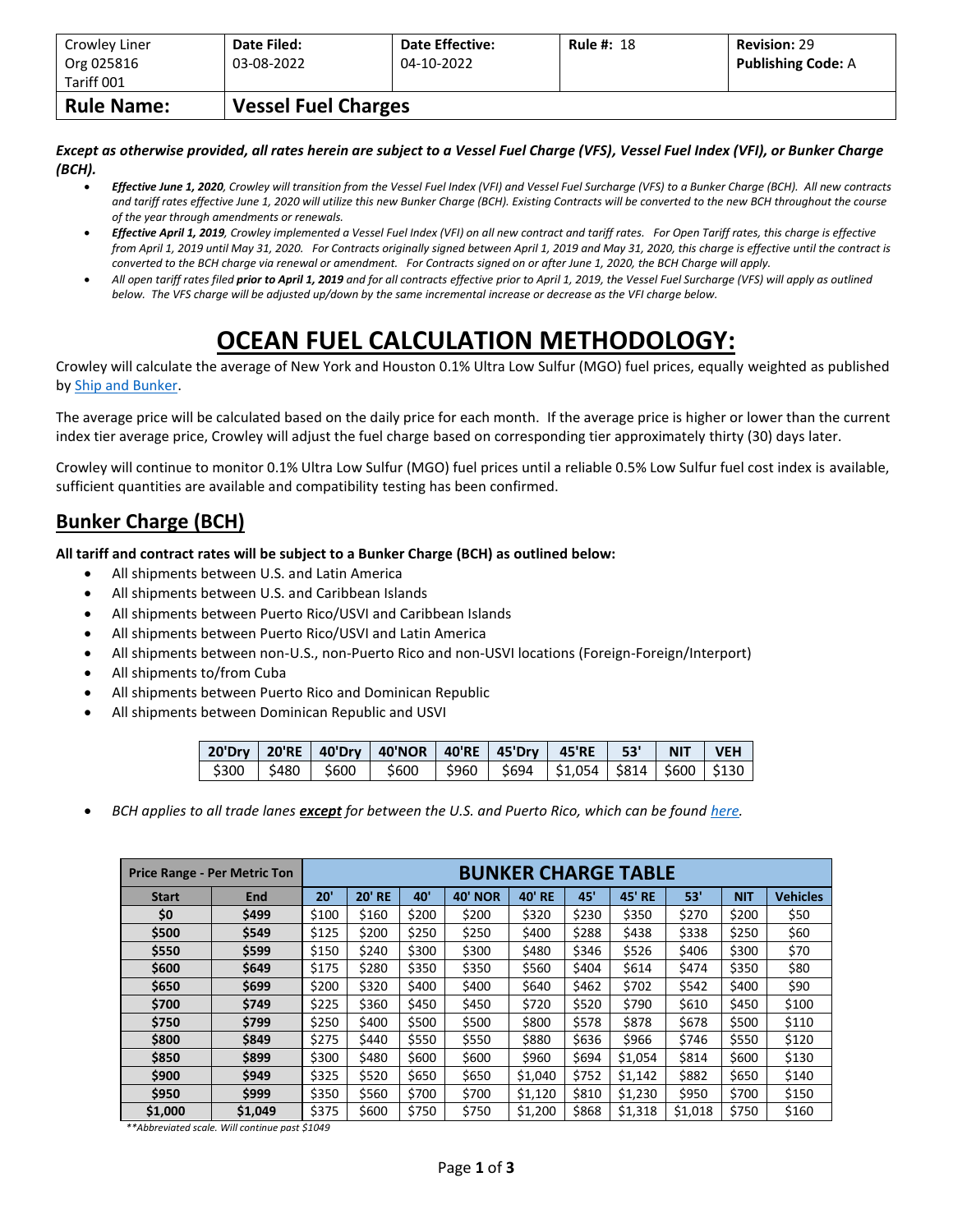| Crowley Liner<br>Org 025816<br>Tariff 001 | Date Filed:<br>03-08-2022 | <b>Date Effective:</b><br>04-10-2022 | <b>Rule #: 18</b> | <b>Revision: 29</b><br><b>Publishing Code: A</b> |  |  |  |  |  |  |
|-------------------------------------------|---------------------------|--------------------------------------|-------------------|--------------------------------------------------|--|--|--|--|--|--|
| <b>Rule Name:</b>                         |                           | <b>Vessel Fuel Charges</b>           |                   |                                                  |  |  |  |  |  |  |

*Except as otherwise provided, all rates herein are subject to a Vessel Fuel Charge (VFS), Vessel Fuel Index (VFI), or Bunker Charge (BCH).*

- *Effective June 1, 2020, Crowley will transition from the Vessel Fuel Index (VFI) and Vessel Fuel Surcharge (VFS) to a Bunker Charge (BCH). All new contracts and tariff rates effective June 1, 2020 will utilize this new Bunker Charge (BCH). Existing Contracts will be converted to the new BCH throughout the course of the year through amendments or renewals.*
- *Effective April 1, 2019, Crowley implemented a Vessel Fuel Index (VFI) on all new contract and tariff rates. For Open Tariff rates, this charge is effective from April 1, 2019 until May 31, 2020. For Contracts originally signed between April 1, 2019 and May 31, 2020, this charge is effective until the contract is converted to the BCH charge via renewal or amendment. For Contracts signed on or after June 1, 2020, the BCH Charge will apply.*
- *All open tariff rates filed prior to April 1, 2019 and for all contracts effective prior to April 1, 2019, the Vessel Fuel Surcharge (VFS) will apply as outlined below. The VFS charge will be adjusted up/down by the same incremental increase or decrease as the VFI charge below.*

## **OCEAN FUEL CALCULATION METHODOLOGY:**

Crowley will calculate the average of New York and Houston 0.1% Ultra Low Sulfur (MGO) fuel prices, equally weighted as published by [Ship and Bunker.](https://shipandbunker.com/)

The average price will be calculated based on the daily price for each month. If the average price is higher or lower than the current index tier average price, Crowley will adjust the fuel charge based on corresponding tier approximately thirty (30) days later.

Crowley will continue to monitor 0.1% Ultra Low Sulfur (MGO) fuel prices until a reliable 0.5% Low Sulfur fuel cost index is available, sufficient quantities are available and compatibility testing has been confirmed.

## **Bunker Charge (BCH)**

**All tariff and contract rates will be subject to a Bunker Charge (BCH) as outlined below:**

- All shipments between U.S. and Latin America
- All shipments between U.S. and Caribbean Islands
- All shipments between Puerto Rico/USVI and Caribbean Islands
- All shipments between Puerto Rico/USVI and Latin America
- All shipments between non-U.S., non-Puerto Rico and non-USVI locations (Foreign-Foreign/Interport)
- All shipments to/from Cuba
- All shipments between Puerto Rico and Dominican Republic
- All shipments between Dominican Republic and USVI

|  | 20'Dry   20'RE   40'Dry   40'NOR   40'RE   45'Dry   45'RE   53'   NIT   VEH                   |  |  |  |
|--|-----------------------------------------------------------------------------------------------|--|--|--|
|  | $\frac{1}{2}$ \$300   \$480   \$600   \$600   \$960   \$694   \$1,054   \$814   \$600   \$130 |  |  |  |

• *BCH applies to all trade lanes except for between the U.S. and Puerto Rico, which can be foun[d here.](https://www.crowley.com/logistics/resources/rates-tariffs/stb/#18-1-vessel-fuel-surcharge-between-the-continental-us-and-puerto-rico)*

|              | <b>Price Range - Per Metric Ton</b> | <b>BUNKER CHARGE TABLE</b> |               |       |                |               |       |               |         |            |                 |
|--------------|-------------------------------------|----------------------------|---------------|-------|----------------|---------------|-------|---------------|---------|------------|-----------------|
| <b>Start</b> | <b>End</b>                          | 20'                        | <b>20' RE</b> | 40'   | <b>40' NOR</b> | <b>40' RE</b> | 45'   | <b>45' RE</b> | 53'     | <b>NIT</b> | <b>Vehicles</b> |
| \$0          | \$499                               | \$100                      | \$160         | \$200 | \$200          | \$320         | \$230 | \$350         | \$270   | \$200      | \$50            |
| \$500        | \$549                               | \$125                      | \$200         | \$250 | \$250          | \$400         | \$288 | \$438         | \$338   | \$250      | \$60            |
| \$550        | \$599                               | \$150                      | \$240         | \$300 | \$300          | \$480         | \$346 | \$526         | \$406   | \$300      | \$70            |
| \$600        | \$649                               | \$175                      | \$280         | \$350 | \$350          | \$560         | \$404 | \$614         | \$474   | \$350      | \$80            |
| \$650        | \$699                               | \$200                      | \$320         | \$400 | \$400          | \$640         | \$462 | \$702         | \$542   | \$400      | \$90            |
| \$700        | \$749                               | \$225                      | \$360         | \$450 | \$450          | \$720         | \$520 | \$790         | \$610   | \$450      | \$100           |
| \$750        | \$799                               | \$250                      | \$400         | \$500 | \$500          | \$800         | \$578 | \$878         | \$678   | \$500      | \$110           |
| \$800        | \$849                               | \$275                      | \$440         | \$550 | \$550          | \$880         | \$636 | \$966         | \$746   | \$550      | \$120           |
| \$850        | \$899                               | \$300                      | \$480         | \$600 | \$600          | \$960         | \$694 | \$1,054       | \$814   | \$600      | \$130           |
| \$900        | \$949                               | \$325                      | \$520         | \$650 | \$650          | \$1,040       | \$752 | \$1,142       | \$882   | \$650      | \$140           |
| \$950        | \$999                               | \$350                      | \$560         | \$700 | \$700          | \$1,120       | \$810 | \$1,230       | \$950   | \$700      | \$150           |
| \$1,000      | \$1,049                             | \$375                      | \$600         | \$750 | \$750          | \$1,200       | \$868 | \$1,318       | \$1,018 | \$750      | \$160           |

*\*\*Abbreviated scale. Will continue past \$1049*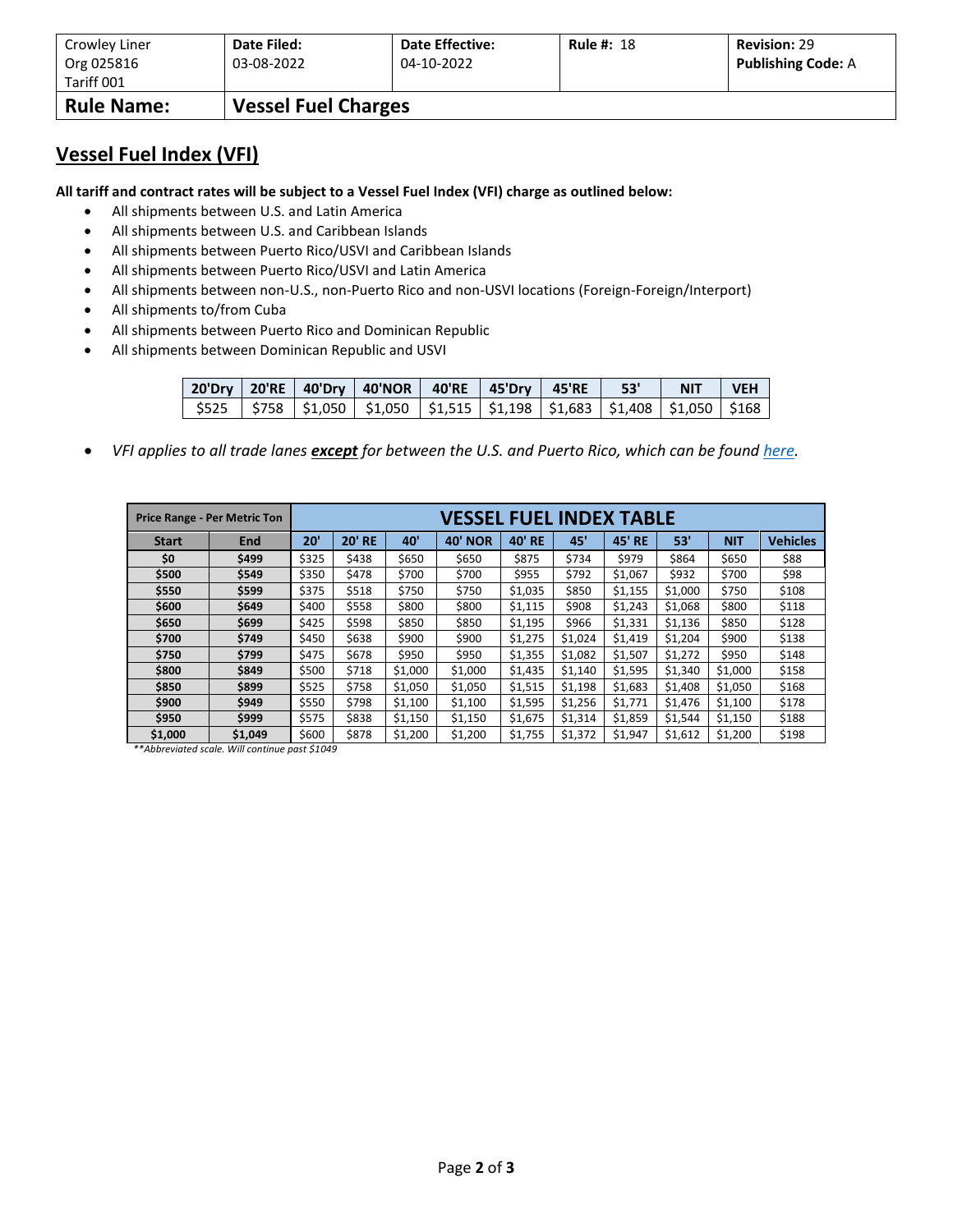| Crowley Liner            | Date Filed:                | <b>Date Effective:</b> | <b>Rule #: 18</b> | <b>Revision: 29</b>       |
|--------------------------|----------------------------|------------------------|-------------------|---------------------------|
| Org 025816<br>Tariff 001 | 03-08-2022                 | 04-10-2022             |                   | <b>Publishing Code: A</b> |
| <b>Rule Name:</b>        | <b>Vessel Fuel Charges</b> |                        |                   |                           |

## **Vessel Fuel Index (VFI)**

**All tariff and contract rates will be subject to a Vessel Fuel Index (VFI) charge as outlined below:**

- All shipments between U.S. and Latin America
- All shipments between U.S. and Caribbean Islands
- All shipments between Puerto Rico/USVI and Caribbean Islands
- All shipments between Puerto Rico/USVI and Latin America
- All shipments between non-U.S., non-Puerto Rico and non-USVI locations (Foreign-Foreign/Interport)
- All shipments to/from Cuba
- All shipments between Puerto Rico and Dominican Republic
- All shipments between Dominican Republic and USVI

|  | 20'Dry   20'RE   40'Dry   40'NOR   40'RE   45'Dry   45'RE   53'                                           |  |  | NIT VEH |  |
|--|-----------------------------------------------------------------------------------------------------------|--|--|---------|--|
|  | $\frac{1}{2}$ \$525   \$758   \$1,050   \$1,050   \$1,515   \$1,198   \$1,683   \$1,408   \$1,050   \$168 |  |  |         |  |

• *VFI applies to all trade lanes except for between the U.S. and Puerto Rico, which can be foun[d here.](https://www.crowley.com/logistics/resources/rates-tariffs/stb/#18-1-vessel-fuel-surcharge-between-the-continental-us-and-puerto-rico)*

|              | <b>Price Range - Per Metric Ton</b> | VESSEL FUEL INDEX TABLE |               |         |                |               |         |               |         |            |                 |
|--------------|-------------------------------------|-------------------------|---------------|---------|----------------|---------------|---------|---------------|---------|------------|-----------------|
| <b>Start</b> | <b>End</b>                          | 20'                     | <b>20' RE</b> | 40'     | <b>40' NOR</b> | <b>40' RE</b> | 45'     | <b>45' RE</b> | 53'     | <b>NIT</b> | <b>Vehicles</b> |
| \$0          | \$499                               | \$325                   | \$438         | \$650   | \$650          | \$875         | \$734   | \$979         | \$864   | \$650      | \$88            |
| \$500        | \$549                               | \$350                   | \$478         | \$700   | \$700          | \$955         | \$792   | \$1,067       | \$932   | \$700      | \$98            |
| \$550        | \$599                               | \$375                   | \$518         | \$750   | \$750          | \$1,035       | \$850   | \$1,155       | \$1,000 | \$750      | \$108           |
| \$600        | \$649                               | \$400                   | \$558         | \$800   | \$800          | \$1,115       | \$908   | \$1,243       | \$1,068 | \$800      | \$118           |
| \$650        | \$699                               | \$425                   | \$598         | \$850   | \$850          | \$1,195       | \$966   | \$1,331       | \$1,136 | \$850      | \$128           |
| \$700        | \$749                               | \$450                   | \$638         | \$900   | \$900          | \$1,275       | \$1,024 | \$1,419       | \$1,204 | \$900      | \$138           |
| \$750        | \$799                               | \$475                   | \$678         | \$950   | \$950          | \$1,355       | \$1,082 | \$1,507       | \$1,272 | \$950      | \$148           |
| \$800        | \$849                               | \$500                   | \$718         | \$1,000 | \$1,000        | \$1,435       | \$1,140 | \$1,595       | \$1,340 | \$1,000    | \$158           |
| \$850        | \$899                               | \$525                   | \$758         | \$1,050 | \$1,050        | \$1,515       | \$1,198 | \$1,683       | \$1,408 | \$1,050    | \$168           |
| \$900        | \$949                               | \$550                   | \$798         | \$1,100 | \$1,100        | \$1,595       | \$1,256 | \$1,771       | \$1,476 | \$1,100    | \$178           |
| \$950        | \$999                               | \$575                   | \$838         | \$1,150 | \$1,150        | \$1,675       | \$1,314 | \$1,859       | \$1,544 | \$1,150    | \$188           |
| \$1,000      | \$1,049                             | \$600                   | \$878         | \$1,200 | \$1,200        | \$1,755       | \$1,372 | \$1,947       | \$1,612 | \$1,200    | \$198           |

*\*\*Abbreviated scale. Will continue past \$1049*